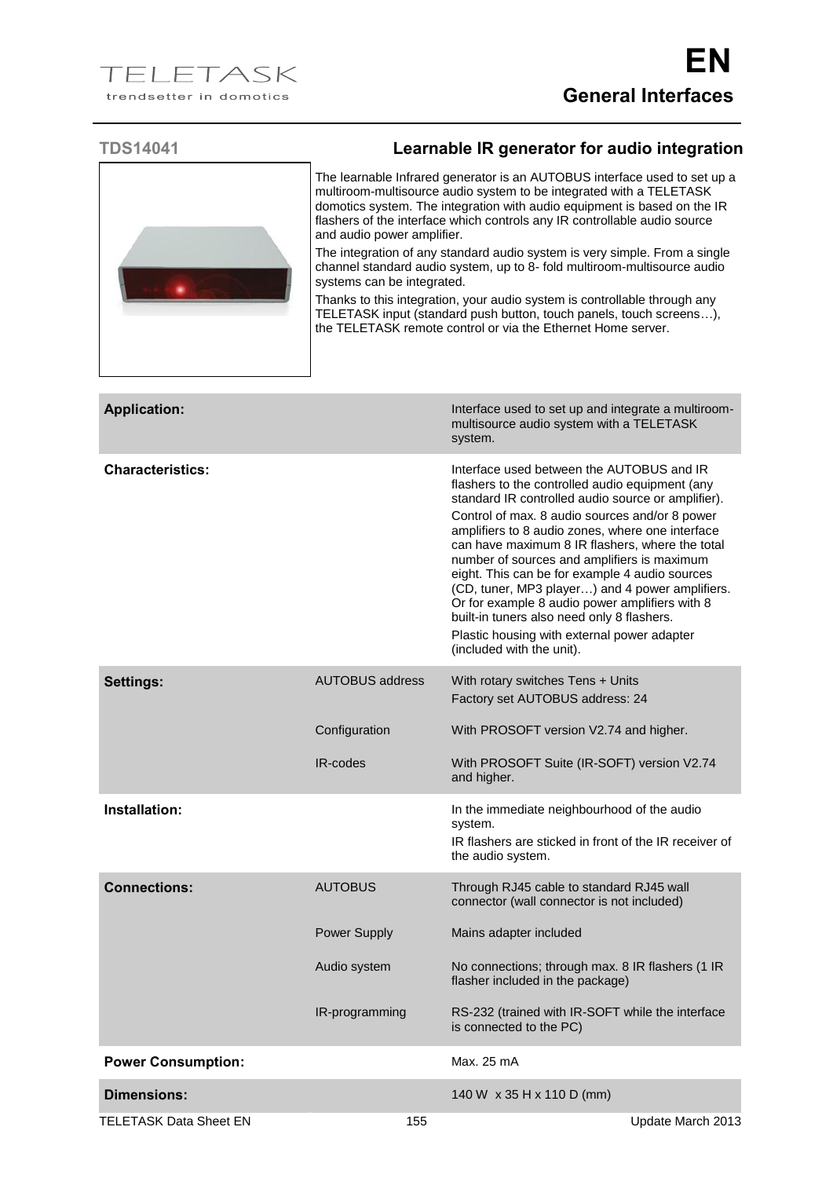

## **TDS14041 Learnable IR generator for audio integration**

The learnable Infrared generator is an AUTOBUS interface used to set up a multiroom-multisource audio system to be integrated with a TELETASK domotics system. The integration with audio equipment is based on the IR flashers of the interface which controls any IR controllable audio source and audio power amplifier.

The integration of any standard audio system is very simple. From a single channel standard audio system, up to 8- fold multiroom-multisource audio systems can be integrated.

Thanks to this integration, your audio system is controllable through any TELETASK input (standard push button, touch panels, touch screens…), the TELETASK remote control or via the Ethernet Home server.

| <b>Application:</b>           |                        | Interface used to set up and integrate a multiroom-<br>multisource audio system with a TELETASK<br>system.                                                                                                                                                                                                                                                                                                                                                                                                                                                                                                                                  |
|-------------------------------|------------------------|---------------------------------------------------------------------------------------------------------------------------------------------------------------------------------------------------------------------------------------------------------------------------------------------------------------------------------------------------------------------------------------------------------------------------------------------------------------------------------------------------------------------------------------------------------------------------------------------------------------------------------------------|
| <b>Characteristics:</b>       |                        | Interface used between the AUTOBUS and IR<br>flashers to the controlled audio equipment (any<br>standard IR controlled audio source or amplifier).<br>Control of max. 8 audio sources and/or 8 power<br>amplifiers to 8 audio zones, where one interface<br>can have maximum 8 IR flashers, where the total<br>number of sources and amplifiers is maximum<br>eight. This can be for example 4 audio sources<br>(CD, tuner, MP3 player) and 4 power amplifiers.<br>Or for example 8 audio power amplifiers with 8<br>built-in tuners also need only 8 flashers.<br>Plastic housing with external power adapter<br>(included with the unit). |
| <b>Settings:</b>              | <b>AUTOBUS address</b> | With rotary switches Tens + Units<br>Factory set AUTOBUS address: 24                                                                                                                                                                                                                                                                                                                                                                                                                                                                                                                                                                        |
|                               | Configuration          | With PROSOFT version V2.74 and higher.                                                                                                                                                                                                                                                                                                                                                                                                                                                                                                                                                                                                      |
|                               | <b>IR-codes</b>        | With PROSOFT Suite (IR-SOFT) version V2.74<br>and higher.                                                                                                                                                                                                                                                                                                                                                                                                                                                                                                                                                                                   |
| Installation:                 |                        | In the immediate neighbourhood of the audio<br>system.<br>IR flashers are sticked in front of the IR receiver of<br>the audio system.                                                                                                                                                                                                                                                                                                                                                                                                                                                                                                       |
| <b>Connections:</b>           | <b>AUTOBUS</b>         | Through RJ45 cable to standard RJ45 wall<br>connector (wall connector is not included)                                                                                                                                                                                                                                                                                                                                                                                                                                                                                                                                                      |
|                               | Power Supply           | Mains adapter included                                                                                                                                                                                                                                                                                                                                                                                                                                                                                                                                                                                                                      |
|                               | Audio system           | No connections; through max. 8 IR flashers (1 IR<br>flasher included in the package)                                                                                                                                                                                                                                                                                                                                                                                                                                                                                                                                                        |
|                               | IR-programming         | RS-232 (trained with IR-SOFT while the interface<br>is connected to the PC)                                                                                                                                                                                                                                                                                                                                                                                                                                                                                                                                                                 |
| <b>Power Consumption:</b>     |                        | Max. 25 mA                                                                                                                                                                                                                                                                                                                                                                                                                                                                                                                                                                                                                                  |
| <b>Dimensions:</b>            |                        | 140 W x 35 H x 110 D (mm)                                                                                                                                                                                                                                                                                                                                                                                                                                                                                                                                                                                                                   |
| <b>TELETASK Data Sheet EN</b> | 155                    | Update March 2013                                                                                                                                                                                                                                                                                                                                                                                                                                                                                                                                                                                                                           |